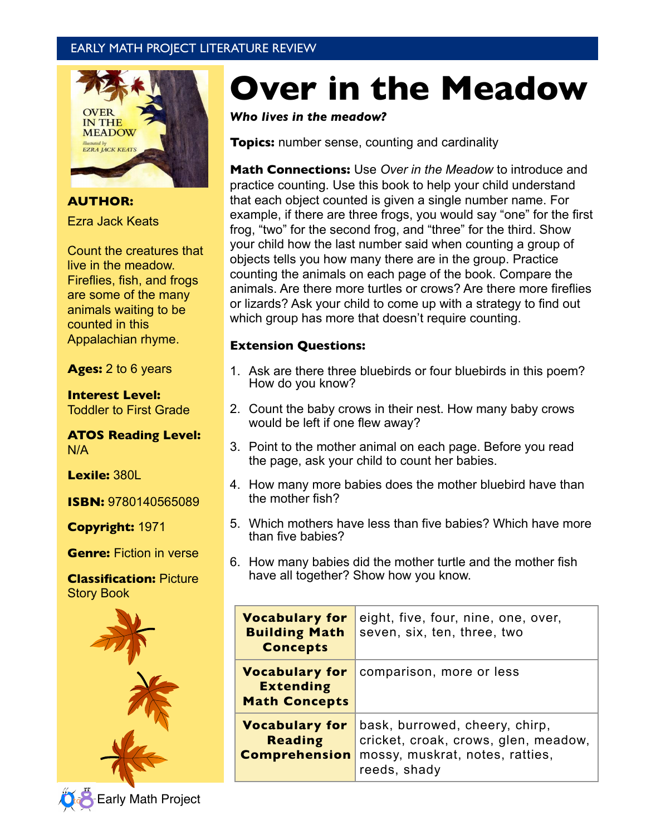# EARLY MATH PROJECT LITERATURE REVIEW



**AUTHOR:** Ezra Jack Keats

Count the creatures that live in the meadow. Fireflies, fish, and frogs are some of the many animals waiting to be counted in this Appalachian rhyme.

**Ages:** 2 to 6 years

**Interest Level:** Toddler to First Grade

**ATOS Reading Level:** N/A

**Lexile:** 380L

**ISBN:** 9780140565089

**Copyright:** 1971

**Genre:** Fiction in verse

**Classification:** Picture Story Book



# **Over in the Meadow**

*Who lives in the meadow?*

**Topics:** number sense, counting and cardinality

**Math Connections:** Use *Over in the Meadow* to introduce and practice counting. Use this book to help your child understand that each object counted is given a single number name. For example, if there are three frogs, you would say "one" for the first frog, "two" for the second frog, and "three" for the third. Show your child how the last number said when counting a group of objects tells you how many there are in the group. Practice counting the animals on each page of the book. Compare the animals. Are there more turtles or crows? Are there more fireflies or lizards? Ask your child to come up with a strategy to find out which group has more that doesn't require counting.

#### **Extension Questions:**

- 1. Ask are there three bluebirds or four bluebirds in this poem? How do you know?
- 2. Count the baby crows in their nest. How many baby crows would be left if one flew away?
- 3. Point to the mother animal on each page. Before you read the page, ask your child to count her babies.
- 4. How many more babies does the mother bluebird have than the mother fish?
- 5. Which mothers have less than five babies? Which have more than five babies?
- 6. How many babies did the mother turtle and the mother fish have all together? Show how you know.

| <b>Vocabulary for</b><br><b>Building Math</b><br><b>Concepts</b>  | eight, five, four, nine, one, over,<br>seven, six, ten, three, two                                                        |
|-------------------------------------------------------------------|---------------------------------------------------------------------------------------------------------------------------|
| <b>Vocabulary for</b><br><b>Extending</b><br><b>Math Concepts</b> | comparison, more or less                                                                                                  |
| <b>Vocabulary for</b><br><b>Reading</b><br><b>Comprehension</b>   | bask, burrowed, cheery, chirp,<br>cricket, croak, crows, glen, meadow,<br>mossy, muskrat, notes, ratties,<br>reeds, shady |